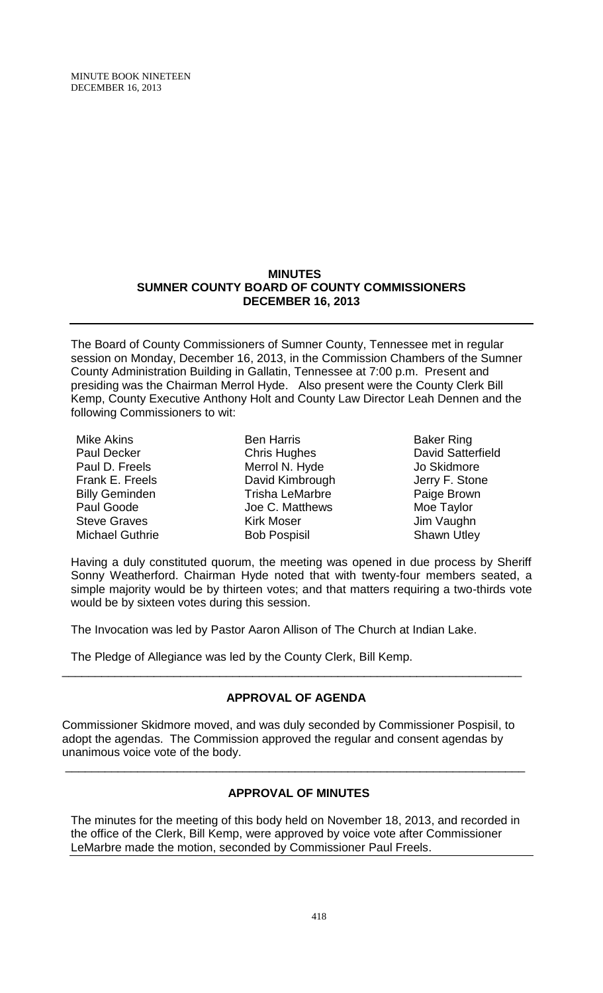MINUTE BOOK NINETEEN DECEMBER 16, 2013

## **MINUTES SUMNER COUNTY BOARD OF COUNTY COMMISSIONERS DECEMBER 16, 2013**

The Board of County Commissioners of Sumner County, Tennessee met in regular session on Monday, December 16, 2013, in the Commission Chambers of the Sumner County Administration Building in Gallatin, Tennessee at 7:00 p.m. Present and presiding was the Chairman Merrol Hyde. Also present were the County Clerk Bill Kemp, County Executive Anthony Holt and County Law Director Leah Dennen and the following Commissioners to wit:

Mike Akins Paul Decker Paul D. Freels Frank E. Freels Billy Geminden Paul Goode Steve Graves Michael Guthrie

Ben Harris Chris Hughes Merrol N. Hyde David Kimbrough Trisha LeMarbre Joe C. Matthews Kirk Moser Bob Pospisil

Baker Ring David Satterfield Jo Skidmore Jerry F. Stone Paige Brown Moe Taylor Jim Vaughn Shawn Utley

Having a duly constituted quorum, the meeting was opened in due process by Sheriff Sonny Weatherford. Chairman Hyde noted that with twenty-four members seated, a simple majority would be by thirteen votes; and that matters requiring a two-thirds vote would be by sixteen votes during this session.

The Invocation was led by Pastor Aaron Allison of The Church at Indian Lake.

The Pledge of Allegiance was led by the County Clerk, Bill Kemp.

# **APPROVAL OF AGENDA**

\_\_\_\_\_\_\_\_\_\_\_\_\_\_\_\_\_\_\_\_\_\_\_\_\_\_\_\_\_\_\_\_\_\_\_\_\_\_\_\_\_\_\_\_\_\_\_\_\_\_\_\_\_\_\_\_\_\_\_\_\_\_\_\_\_\_\_\_\_\_

Commissioner Skidmore moved, and was duly seconded by Commissioner Pospisil, to adopt the agendas. The Commission approved the regular and consent agendas by unanimous voice vote of the body.

# **APPROVAL OF MINUTES**

\_\_\_\_\_\_\_\_\_\_\_\_\_\_\_\_\_\_\_\_\_\_\_\_\_\_\_\_\_\_\_\_\_\_\_\_\_\_\_\_\_\_\_\_\_\_\_\_\_\_\_\_\_\_\_\_\_\_\_\_\_\_\_\_\_\_\_\_\_\_

The minutes for the meeting of this body held on November 18, 2013, and recorded in the office of the Clerk, Bill Kemp, were approved by voice vote after Commissioner LeMarbre made the motion, seconded by Commissioner Paul Freels.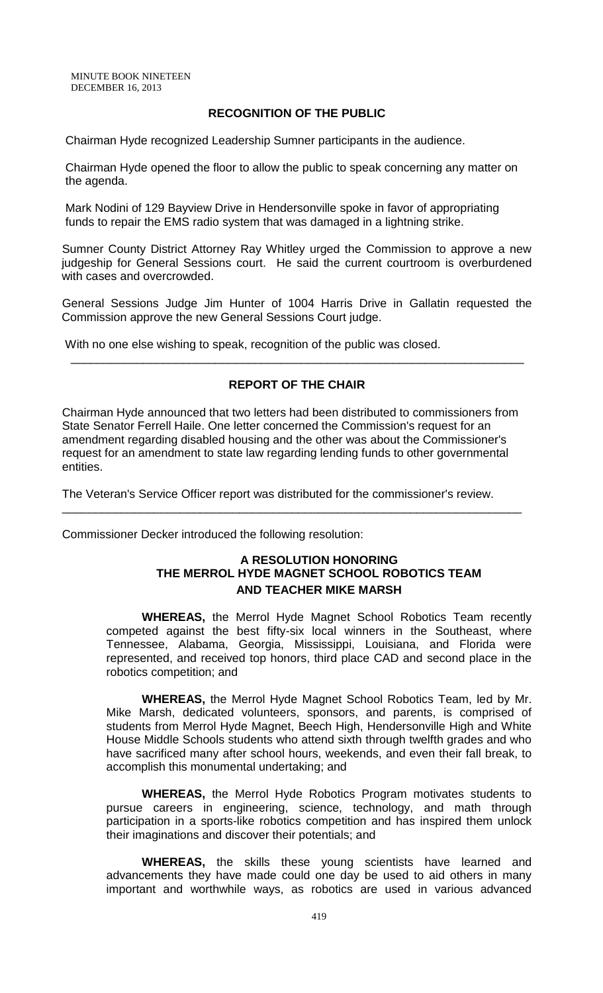## **RECOGNITION OF THE PUBLIC**

Chairman Hyde recognized Leadership Sumner participants in the audience.

Chairman Hyde opened the floor to allow the public to speak concerning any matter on the agenda.

Mark Nodini of 129 Bayview Drive in Hendersonville spoke in favor of appropriating funds to repair the EMS radio system that was damaged in a lightning strike.

Sumner County District Attorney Ray Whitley urged the Commission to approve a new judgeship for General Sessions court. He said the current courtroom is overburdened with cases and overcrowded.

General Sessions Judge Jim Hunter of 1004 Harris Drive in Gallatin requested the Commission approve the new General Sessions Court judge.

With no one else wishing to speak, recognition of the public was closed.

## **REPORT OF THE CHAIR**

\_\_\_\_\_\_\_\_\_\_\_\_\_\_\_\_\_\_\_\_\_\_\_\_\_\_\_\_\_\_\_\_\_\_\_\_\_\_\_\_\_\_\_\_\_\_\_\_\_\_\_\_\_\_\_\_\_\_\_\_\_\_\_\_\_\_\_\_\_

Chairman Hyde announced that two letters had been distributed to commissioners from State Senator Ferrell Haile. One letter concerned the Commission's request for an amendment regarding disabled housing and the other was about the Commissioner's request for an amendment to state law regarding lending funds to other governmental entities.

\_\_\_\_\_\_\_\_\_\_\_\_\_\_\_\_\_\_\_\_\_\_\_\_\_\_\_\_\_\_\_\_\_\_\_\_\_\_\_\_\_\_\_\_\_\_\_\_\_\_\_\_\_\_\_\_\_\_\_\_\_\_\_\_\_\_\_\_\_\_

The Veteran's Service Officer report was distributed for the commissioner's review.

Commissioner Decker introduced the following resolution:

## **A RESOLUTION HONORING THE MERROL HYDE MAGNET SCHOOL ROBOTICS TEAM AND TEACHER MIKE MARSH**

**WHEREAS,** the Merrol Hyde Magnet School Robotics Team recently competed against the best fifty-six local winners in the Southeast, where Tennessee, Alabama, Georgia, Mississippi, Louisiana, and Florida were represented, and received top honors, third place CAD and second place in the robotics competition; and

**WHEREAS,** the Merrol Hyde Magnet School Robotics Team, led by Mr. Mike Marsh, dedicated volunteers, sponsors, and parents, is comprised of students from Merrol Hyde Magnet, Beech High, Hendersonville High and White House Middle Schools students who attend sixth through twelfth grades and who have sacrificed many after school hours, weekends, and even their fall break, to accomplish this monumental undertaking; and

**WHEREAS,** the Merrol Hyde Robotics Program motivates students to pursue careers in engineering, science, technology, and math through participation in a sports-like robotics competition and has inspired them unlock their imaginations and discover their potentials; and

**WHEREAS,** the skills these young scientists have learned and advancements they have made could one day be used to aid others in many important and worthwhile ways, as robotics are used in various advanced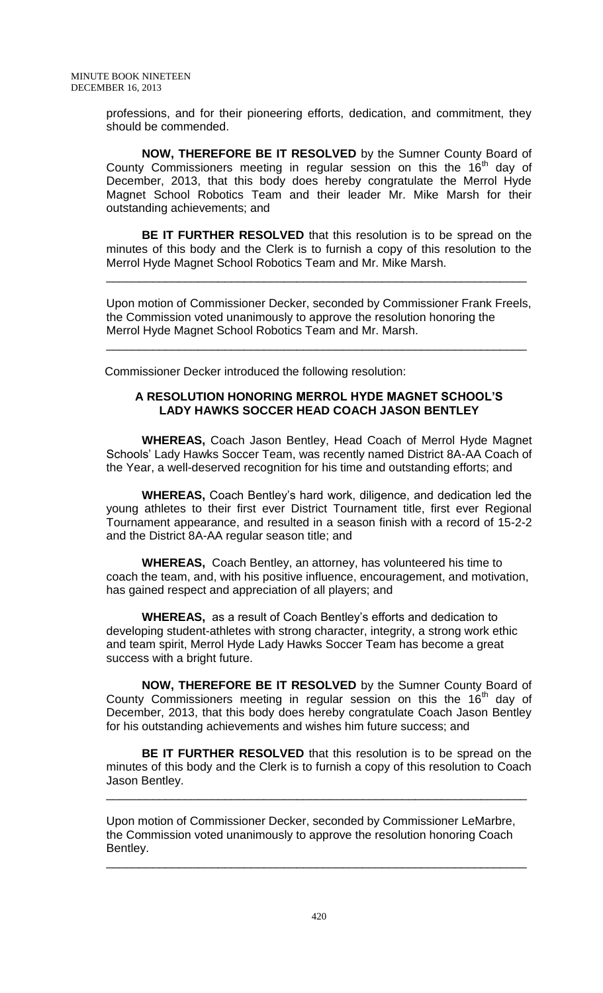professions, and for their pioneering efforts, dedication, and commitment, they should be commended.

**NOW, THEREFORE BE IT RESOLVED** by the Sumner County Board of County Commissioners meeting in regular session on this the  $16<sup>th</sup>$  day of December, 2013, that this body does hereby congratulate the Merrol Hyde Magnet School Robotics Team and their leader Mr. Mike Marsh for their outstanding achievements; and

**BE IT FURTHER RESOLVED** that this resolution is to be spread on the minutes of this body and the Clerk is to furnish a copy of this resolution to the Merrol Hyde Magnet School Robotics Team and Mr. Mike Marsh.

\_\_\_\_\_\_\_\_\_\_\_\_\_\_\_\_\_\_\_\_\_\_\_\_\_\_\_\_\_\_\_\_\_\_\_\_\_\_\_\_\_\_\_\_\_\_\_\_\_\_\_\_\_\_\_\_\_\_\_\_\_\_\_\_

Upon motion of Commissioner Decker, seconded by Commissioner Frank Freels, the Commission voted unanimously to approve the resolution honoring the Merrol Hyde Magnet School Robotics Team and Mr. Marsh.

\_\_\_\_\_\_\_\_\_\_\_\_\_\_\_\_\_\_\_\_\_\_\_\_\_\_\_\_\_\_\_\_\_\_\_\_\_\_\_\_\_\_\_\_\_\_\_\_\_\_\_\_\_\_\_\_\_\_\_\_\_\_\_\_

Commissioner Decker introduced the following resolution:

## **A RESOLUTION HONORING MERROL HYDE MAGNET SCHOOL'S LADY HAWKS SOCCER HEAD COACH JASON BENTLEY**

**WHEREAS,** Coach Jason Bentley, Head Coach of Merrol Hyde Magnet Schools' Lady Hawks Soccer Team, was recently named District 8A-AA Coach of the Year, a well-deserved recognition for his time and outstanding efforts; and

**WHEREAS,** Coach Bentley's hard work, diligence, and dedication led the young athletes to their first ever District Tournament title, first ever Regional Tournament appearance, and resulted in a season finish with a record of 15-2-2 and the District 8A-AA regular season title; and

**WHEREAS,** Coach Bentley, an attorney, has volunteered his time to coach the team, and, with his positive influence, encouragement, and motivation, has gained respect and appreciation of all players; and

**WHEREAS,** as a result of Coach Bentley's efforts and dedication to developing student-athletes with strong character, integrity, a strong work ethic and team spirit, Merrol Hyde Lady Hawks Soccer Team has become a great success with a bright future.

**NOW, THEREFORE BE IT RESOLVED** by the Sumner County Board of County Commissioners meeting in regular session on this the 16<sup>th</sup> day of December, 2013, that this body does hereby congratulate Coach Jason Bentley for his outstanding achievements and wishes him future success; and

**BE IT FURTHER RESOLVED** that this resolution is to be spread on the minutes of this body and the Clerk is to furnish a copy of this resolution to Coach Jason Bentley.

\_\_\_\_\_\_\_\_\_\_\_\_\_\_\_\_\_\_\_\_\_\_\_\_\_\_\_\_\_\_\_\_\_\_\_\_\_\_\_\_\_\_\_\_\_\_\_\_\_\_\_\_\_\_\_\_\_\_\_\_\_\_\_\_

Upon motion of Commissioner Decker, seconded by Commissioner LeMarbre, the Commission voted unanimously to approve the resolution honoring Coach Bentley.

\_\_\_\_\_\_\_\_\_\_\_\_\_\_\_\_\_\_\_\_\_\_\_\_\_\_\_\_\_\_\_\_\_\_\_\_\_\_\_\_\_\_\_\_\_\_\_\_\_\_\_\_\_\_\_\_\_\_\_\_\_\_\_\_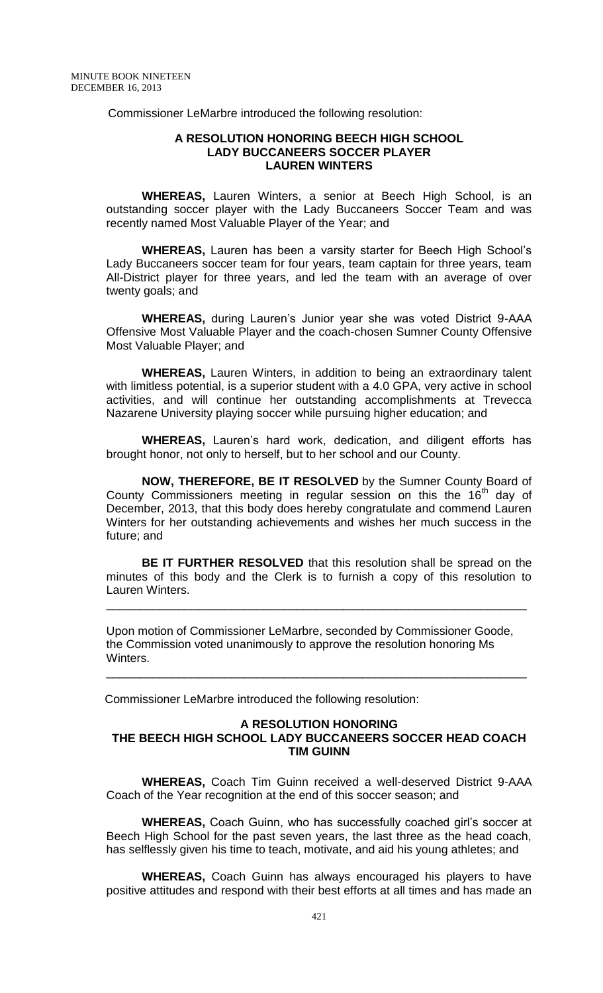Commissioner LeMarbre introduced the following resolution:

#### **A RESOLUTION HONORING BEECH HIGH SCHOOL LADY BUCCANEERS SOCCER PLAYER LAUREN WINTERS**

**WHEREAS,** Lauren Winters, a senior at Beech High School, is an outstanding soccer player with the Lady Buccaneers Soccer Team and was recently named Most Valuable Player of the Year; and

**WHEREAS,** Lauren has been a varsity starter for Beech High School's Lady Buccaneers soccer team for four years, team captain for three years, team All-District player for three years, and led the team with an average of over twenty goals; and

**WHEREAS,** during Lauren's Junior year she was voted District 9-AAA Offensive Most Valuable Player and the coach-chosen Sumner County Offensive Most Valuable Player; and

**WHEREAS,** Lauren Winters, in addition to being an extraordinary talent with limitless potential, is a superior student with a 4.0 GPA, very active in school activities, and will continue her outstanding accomplishments at Trevecca Nazarene University playing soccer while pursuing higher education; and

**WHEREAS,** Lauren's hard work, dedication, and diligent efforts has brought honor, not only to herself, but to her school and our County.

**NOW, THEREFORE, BE IT RESOLVED** by the Sumner County Board of County Commissioners meeting in regular session on this the 16<sup>th</sup> day of December, 2013, that this body does hereby congratulate and commend Lauren Winters for her outstanding achievements and wishes her much success in the future; and

**BE IT FURTHER RESOLVED** that this resolution shall be spread on the minutes of this body and the Clerk is to furnish a copy of this resolution to Lauren Winters.

\_\_\_\_\_\_\_\_\_\_\_\_\_\_\_\_\_\_\_\_\_\_\_\_\_\_\_\_\_\_\_\_\_\_\_\_\_\_\_\_\_\_\_\_\_\_\_\_\_\_\_\_\_\_\_\_\_\_\_\_\_\_\_\_

Upon motion of Commissioner LeMarbre, seconded by Commissioner Goode, the Commission voted unanimously to approve the resolution honoring Ms Winters.

\_\_\_\_\_\_\_\_\_\_\_\_\_\_\_\_\_\_\_\_\_\_\_\_\_\_\_\_\_\_\_\_\_\_\_\_\_\_\_\_\_\_\_\_\_\_\_\_\_\_\_\_\_\_\_\_\_\_\_\_\_\_\_\_

Commissioner LeMarbre introduced the following resolution:

#### **A RESOLUTION HONORING THE BEECH HIGH SCHOOL LADY BUCCANEERS SOCCER HEAD COACH TIM GUINN**

**WHEREAS,** Coach Tim Guinn received a well-deserved District 9-AAA Coach of the Year recognition at the end of this soccer season; and

**WHEREAS,** Coach Guinn, who has successfully coached girl's soccer at Beech High School for the past seven years, the last three as the head coach, has selflessly given his time to teach, motivate, and aid his young athletes; and

**WHEREAS,** Coach Guinn has always encouraged his players to have positive attitudes and respond with their best efforts at all times and has made an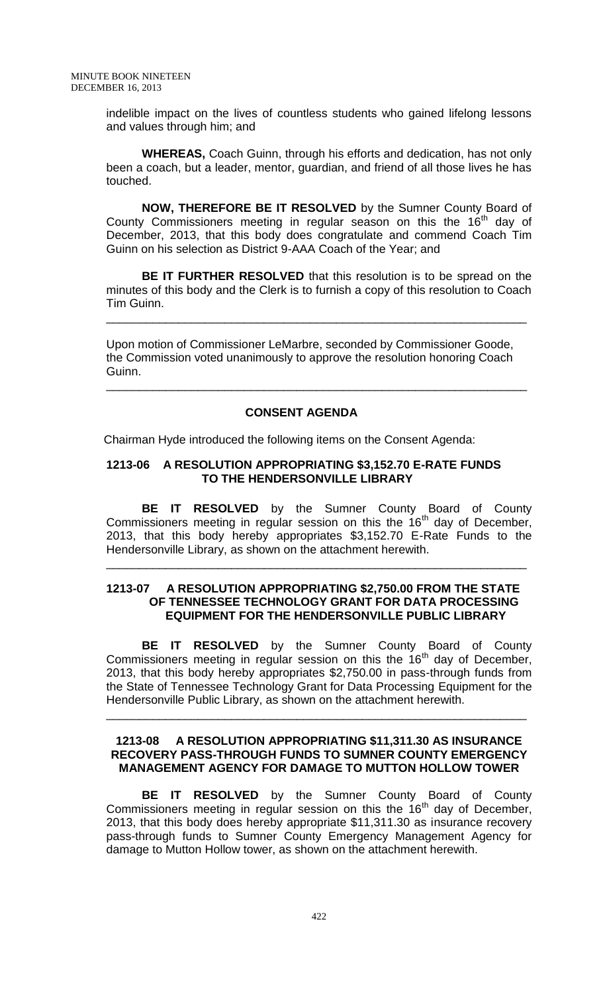indelible impact on the lives of countless students who gained lifelong lessons and values through him; and

**WHEREAS,** Coach Guinn, through his efforts and dedication, has not only been a coach, but a leader, mentor, guardian, and friend of all those lives he has touched.

**NOW, THEREFORE BE IT RESOLVED** by the Sumner County Board of County Commissioners meeting in regular season on this the  $16<sup>th</sup>$  day of December, 2013, that this body does congratulate and commend Coach Tim Guinn on his selection as District 9-AAA Coach of the Year; and

**BE IT FURTHER RESOLVED** that this resolution is to be spread on the minutes of this body and the Clerk is to furnish a copy of this resolution to Coach Tim Guinn.

\_\_\_\_\_\_\_\_\_\_\_\_\_\_\_\_\_\_\_\_\_\_\_\_\_\_\_\_\_\_\_\_\_\_\_\_\_\_\_\_\_\_\_\_\_\_\_\_\_\_\_\_\_\_\_\_\_\_\_\_\_\_\_\_

Upon motion of Commissioner LeMarbre, seconded by Commissioner Goode, the Commission voted unanimously to approve the resolution honoring Coach Guinn.

\_\_\_\_\_\_\_\_\_\_\_\_\_\_\_\_\_\_\_\_\_\_\_\_\_\_\_\_\_\_\_\_\_\_\_\_\_\_\_\_\_\_\_\_\_\_\_\_\_\_\_\_\_\_\_\_\_\_\_\_\_\_\_\_

## **CONSENT AGENDA**

Chairman Hyde introduced the following items on the Consent Agenda:

#### **1213-06 A RESOLUTION APPROPRIATING \$3,152.70 E-RATE FUNDS TO THE HENDERSONVILLE LIBRARY**

**BE IT RESOLVED** by the Sumner County Board of County Commissioners meeting in regular session on this the  $16<sup>th</sup>$  day of December, 2013, that this body hereby appropriates \$3,152.70 E-Rate Funds to the Hendersonville Library, as shown on the attachment herewith.

## **1213-07 A RESOLUTION APPROPRIATING \$2,750.00 FROM THE STATE OF TENNESSEE TECHNOLOGY GRANT FOR DATA PROCESSING EQUIPMENT FOR THE HENDERSONVILLE PUBLIC LIBRARY**

\_\_\_\_\_\_\_\_\_\_\_\_\_\_\_\_\_\_\_\_\_\_\_\_\_\_\_\_\_\_\_\_\_\_\_\_\_\_\_\_\_\_\_\_\_\_\_\_\_\_\_\_\_\_\_\_\_\_\_\_\_\_\_\_

**BE IT RESOLVED** by the Sumner County Board of County Commissioners meeting in regular session on this the  $16<sup>th</sup>$  day of December, 2013, that this body hereby appropriates \$2,750.00 in pass-through funds from the State of Tennessee Technology Grant for Data Processing Equipment for the Hendersonville Public Library, as shown on the attachment herewith.

#### **1213-08 A RESOLUTION APPROPRIATING \$11,311.30 AS INSURANCE RECOVERY PASS-THROUGH FUNDS TO SUMNER COUNTY EMERGENCY MANAGEMENT AGENCY FOR DAMAGE TO MUTTON HOLLOW TOWER**

\_\_\_\_\_\_\_\_\_\_\_\_\_\_\_\_\_\_\_\_\_\_\_\_\_\_\_\_\_\_\_\_\_\_\_\_\_\_\_\_\_\_\_\_\_\_\_\_\_\_\_\_\_\_\_\_\_\_\_\_\_\_\_\_

**BE IT RESOLVED** by the Sumner County Board of County Commissioners meeting in regular session on this the  $16<sup>th</sup>$  day of December, 2013, that this body does hereby appropriate \$11,311.30 as insurance recovery pass-through funds to Sumner County Emergency Management Agency for damage to Mutton Hollow tower, as shown on the attachment herewith.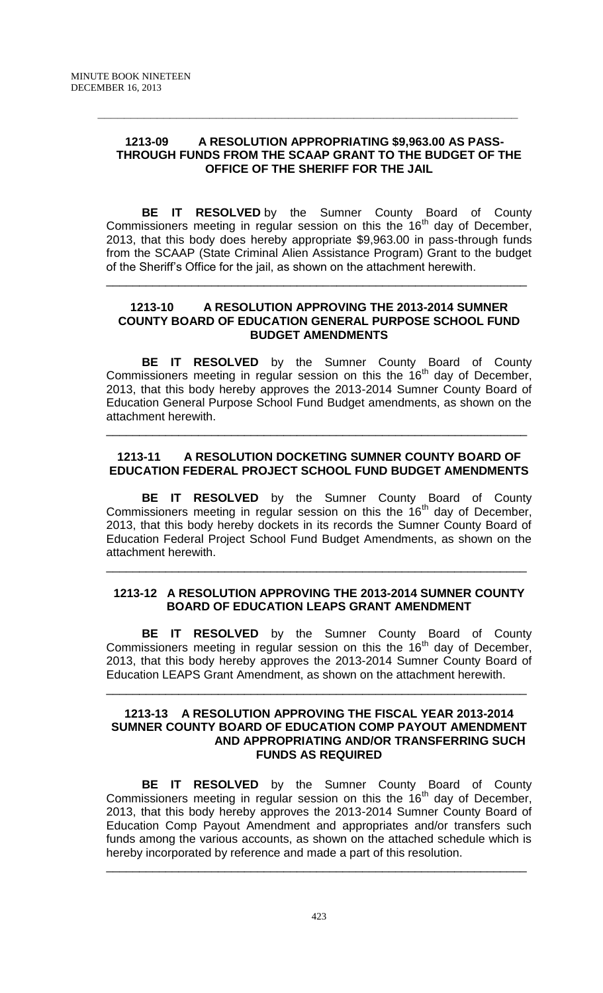## **1213-09 A RESOLUTION APPROPRIATING \$9,963.00 AS PASS-THROUGH FUNDS FROM THE SCAAP GRANT TO THE BUDGET OF THE OFFICE OF THE SHERIFF FOR THE JAIL**

**\_\_\_\_\_\_\_\_\_\_\_\_\_\_\_\_\_\_\_\_\_\_\_\_\_\_\_\_\_\_\_\_\_\_\_\_\_\_\_\_\_\_\_\_\_\_\_\_\_\_\_\_\_\_\_\_\_\_\_\_\_\_\_\_**

**BE IT RESOLVED** by the Sumner County Board of County Commissioners meeting in regular session on this the  $16<sup>th</sup>$  day of December, 2013, that this body does hereby appropriate \$9,963.00 in pass-through funds from the SCAAP (State Criminal Alien Assistance Program) Grant to the budget of the Sheriff's Office for the jail, as shown on the attachment herewith.

## **1213-10 A RESOLUTION APPROVING THE 2013-2014 SUMNER COUNTY BOARD OF EDUCATION GENERAL PURPOSE SCHOOL FUND BUDGET AMENDMENTS**

\_\_\_\_\_\_\_\_\_\_\_\_\_\_\_\_\_\_\_\_\_\_\_\_\_\_\_\_\_\_\_\_\_\_\_\_\_\_\_\_\_\_\_\_\_\_\_\_\_\_\_\_\_\_\_\_\_\_\_\_\_\_\_\_

**BE IT RESOLVED** by the Sumner County Board of County Commissioners meeting in regular session on this the  $16<sup>th</sup>$  day of December, 2013, that this body hereby approves the 2013-2014 Sumner County Board of Education General Purpose School Fund Budget amendments, as shown on the attachment herewith.

# **1213-11 A RESOLUTION DOCKETING SUMNER COUNTY BOARD OF EDUCATION FEDERAL PROJECT SCHOOL FUND BUDGET AMENDMENTS**

\_\_\_\_\_\_\_\_\_\_\_\_\_\_\_\_\_\_\_\_\_\_\_\_\_\_\_\_\_\_\_\_\_\_\_\_\_\_\_\_\_\_\_\_\_\_\_\_\_\_\_\_\_\_\_\_\_\_\_\_\_\_\_\_

**BE IT RESOLVED** by the Sumner County Board of County Commissioners meeting in regular session on this the  $16<sup>th</sup>$  day of December, 2013, that this body hereby dockets in its records the Sumner County Board of Education Federal Project School Fund Budget Amendments, as shown on the attachment herewith.

## **1213-12 A RESOLUTION APPROVING THE 2013-2014 SUMNER COUNTY BOARD OF EDUCATION LEAPS GRANT AMENDMENT**

\_\_\_\_\_\_\_\_\_\_\_\_\_\_\_\_\_\_\_\_\_\_\_\_\_\_\_\_\_\_\_\_\_\_\_\_\_\_\_\_\_\_\_\_\_\_\_\_\_\_\_\_\_\_\_\_\_\_\_\_\_\_\_\_

**BE IT RESOLVED** by the Sumner County Board of County Commissioners meeting in regular session on this the 16<sup>th</sup> day of December, 2013, that this body hereby approves the 2013-2014 Sumner County Board of Education LEAPS Grant Amendment, as shown on the attachment herewith.

\_\_\_\_\_\_\_\_\_\_\_\_\_\_\_\_\_\_\_\_\_\_\_\_\_\_\_\_\_\_\_\_\_\_\_\_\_\_\_\_\_\_\_\_\_\_\_\_\_\_\_\_\_\_\_\_\_\_\_\_\_\_\_\_

#### **1213-13 A RESOLUTION APPROVING THE FISCAL YEAR 2013-2014 SUMNER COUNTY BOARD OF EDUCATION COMP PAYOUT AMENDMENT AND APPROPRIATING AND/OR TRANSFERRING SUCH FUNDS AS REQUIRED**

**BE IT RESOLVED** by the Sumner County Board of County Commissioners meeting in regular session on this the  $16<sup>th</sup>$  day of December, 2013, that this body hereby approves the 2013-2014 Sumner County Board of Education Comp Payout Amendment and appropriates and/or transfers such funds among the various accounts, as shown on the attached schedule which is hereby incorporated by reference and made a part of this resolution.

\_\_\_\_\_\_\_\_\_\_\_\_\_\_\_\_\_\_\_\_\_\_\_\_\_\_\_\_\_\_\_\_\_\_\_\_\_\_\_\_\_\_\_\_\_\_\_\_\_\_\_\_\_\_\_\_\_\_\_\_\_\_\_\_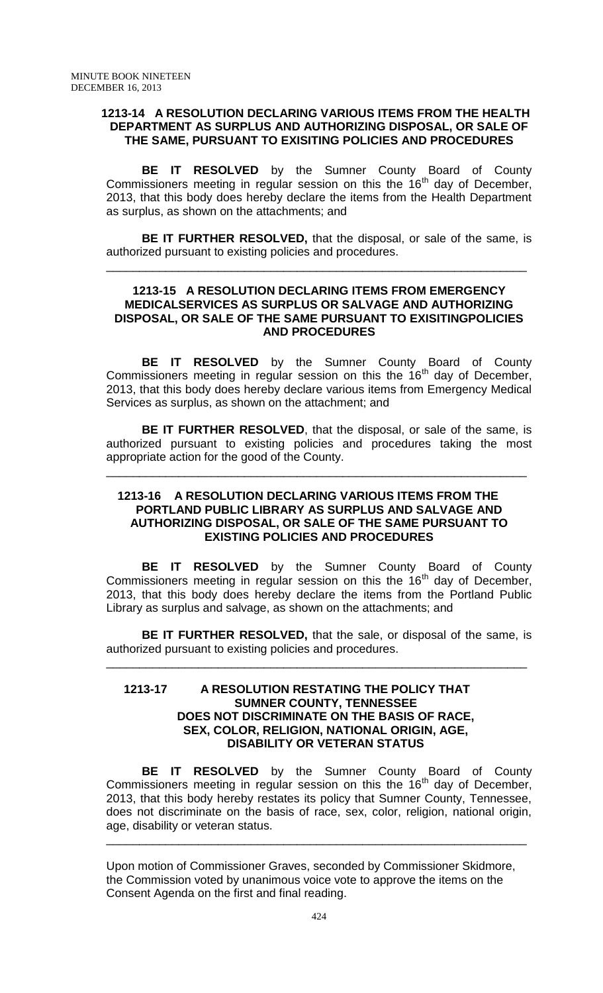### **1213-14 A RESOLUTION DECLARING VARIOUS ITEMS FROM THE HEALTH DEPARTMENT AS SURPLUS AND AUTHORIZING DISPOSAL, OR SALE OF THE SAME, PURSUANT TO EXISITING POLICIES AND PROCEDURES**

**BE IT RESOLVED** by the Sumner County Board of County Commissioners meeting in regular session on this the  $16<sup>th</sup>$  day of December, 2013, that this body does hereby declare the items from the Health Department as surplus, as shown on the attachments; and

**BE IT FURTHER RESOLVED,** that the disposal, or sale of the same, is authorized pursuant to existing policies and procedures.

\_\_\_\_\_\_\_\_\_\_\_\_\_\_\_\_\_\_\_\_\_\_\_\_\_\_\_\_\_\_\_\_\_\_\_\_\_\_\_\_\_\_\_\_\_\_\_\_\_\_\_\_\_\_\_\_\_\_\_\_\_\_\_\_

## **1213-15 A RESOLUTION DECLARING ITEMS FROM EMERGENCY MEDICALSERVICES AS SURPLUS OR SALVAGE AND AUTHORIZING DISPOSAL, OR SALE OF THE SAME PURSUANT TO EXISITINGPOLICIES AND PROCEDURES**

**BE IT RESOLVED** by the Sumner County Board of County Commissioners meeting in regular session on this the  $16<sup>th</sup>$  day of December, 2013, that this body does hereby declare various items from Emergency Medical Services as surplus, as shown on the attachment; and

**BE IT FURTHER RESOLVED**, that the disposal, or sale of the same, is authorized pursuant to existing policies and procedures taking the most appropriate action for the good of the County.

\_\_\_\_\_\_\_\_\_\_\_\_\_\_\_\_\_\_\_\_\_\_\_\_\_\_\_\_\_\_\_\_\_\_\_\_\_\_\_\_\_\_\_\_\_\_\_\_\_\_\_\_\_\_\_\_\_\_\_\_\_\_\_\_

## **1213-16 A RESOLUTION DECLARING VARIOUS ITEMS FROM THE PORTLAND PUBLIC LIBRARY AS SURPLUS AND SALVAGE AND AUTHORIZING DISPOSAL, OR SALE OF THE SAME PURSUANT TO EXISTING POLICIES AND PROCEDURES**

**BE IT RESOLVED** by the Sumner County Board of County Commissioners meeting in regular session on this the  $16<sup>th</sup>$  day of December, 2013, that this body does hereby declare the items from the Portland Public Library as surplus and salvage, as shown on the attachments; and

**BE IT FURTHER RESOLVED,** that the sale, or disposal of the same, is authorized pursuant to existing policies and procedures.

\_\_\_\_\_\_\_\_\_\_\_\_\_\_\_\_\_\_\_\_\_\_\_\_\_\_\_\_\_\_\_\_\_\_\_\_\_\_\_\_\_\_\_\_\_\_\_\_\_\_\_\_\_\_\_\_\_\_\_\_\_\_\_\_

#### **1213-17 A RESOLUTION RESTATING THE POLICY THAT SUMNER COUNTY, TENNESSEE DOES NOT DISCRIMINATE ON THE BASIS OF RACE, SEX, COLOR, RELIGION, NATIONAL ORIGIN, AGE, DISABILITY OR VETERAN STATUS**

**BE IT RESOLVED** by the Sumner County Board of County Commissioners meeting in regular session on this the  $16<sup>th</sup>$  day of December, 2013, that this body hereby restates its policy that Sumner County, Tennessee, does not discriminate on the basis of race, sex, color, religion, national origin, age, disability or veteran status.

\_\_\_\_\_\_\_\_\_\_\_\_\_\_\_\_\_\_\_\_\_\_\_\_\_\_\_\_\_\_\_\_\_\_\_\_\_\_\_\_\_\_\_\_\_\_\_\_\_\_\_\_\_\_\_\_\_\_\_\_\_\_\_\_

Upon motion of Commissioner Graves, seconded by Commissioner Skidmore, the Commission voted by unanimous voice vote to approve the items on the Consent Agenda on the first and final reading.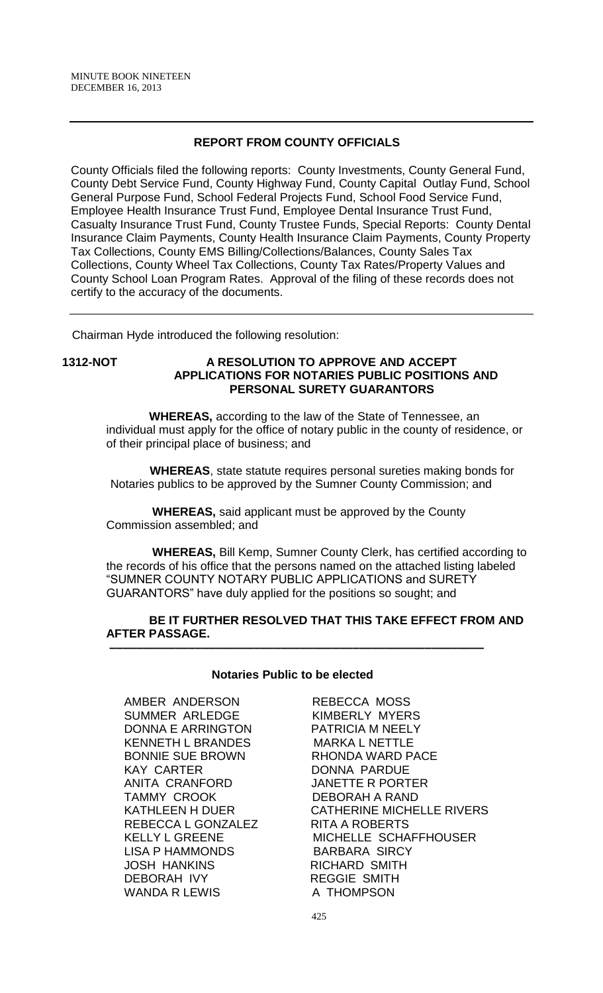# **REPORT FROM COUNTY OFFICIALS**

County Officials filed the following reports: County Investments, County General Fund, County Debt Service Fund, County Highway Fund, County Capital Outlay Fund, School General Purpose Fund, School Federal Projects Fund, School Food Service Fund, Employee Health Insurance Trust Fund, Employee Dental Insurance Trust Fund, Casualty Insurance Trust Fund, County Trustee Funds, Special Reports: County Dental Insurance Claim Payments, County Health Insurance Claim Payments, County Property Tax Collections, County EMS Billing/Collections/Balances, County Sales Tax Collections, County Wheel Tax Collections, County Tax Rates/Property Values and County School Loan Program Rates. Approval of the filing of these records does not certify to the accuracy of the documents.

Chairman Hyde introduced the following resolution:

#### **1312-NOT A RESOLUTION TO APPROVE AND ACCEPT APPLICATIONS FOR NOTARIES PUBLIC POSITIONS AND PERSONAL SURETY GUARANTORS**

 **WHEREAS,** according to the law of the State of Tennessee, an individual must apply for the office of notary public in the county of residence, or of their principal place of business; and

 **WHEREAS**, state statute requires personal sureties making bonds for Notaries publics to be approved by the Sumner County Commission; and

 **WHEREAS,** said applicant must be approved by the County Commission assembled; and

 **WHEREAS,** Bill Kemp, Sumner County Clerk, has certified according to the records of his office that the persons named on the attached listing labeled "SUMNER COUNTY NOTARY PUBLIC APPLICATIONS and SURETY GUARANTORS" have duly applied for the positions so sought; and

#### **BE IT FURTHER RESOLVED THAT THIS TAKE EFFECT FROM AND AFTER PASSAGE. –––––––––––––––––––––––––––––––––––––––––––––––––––––––––**

#### **Notaries Public to be elected**

AMBER ANDERSON REBECCA MOSS SUMMER ARLEDGE KIMBERLY MYERS DONNA E ARRINGTON PATRICIA M NEELY KENNETH L BRANDES MARKA L NETTLE BONNIE SUE BROWN RHONDA WARD PACE KAY CARTER DONNA PARDUE ANITA CRANFORD JANETTE R PORTER TAMMY CROOK DEBORAH A RAND REBECCA L GONZALEZ RITA A ROBERTS LISA P HAMMONDS BARBARA SIRCY JOSH HANKINS RICHARD SMITH DEBORAH IVY REGGIE SMITH<br>WANDA R LEWIS A THOMPSON WANDA R LEWIS

KATHLEEN H DUER CATHERINE MICHELLE RIVERS KELLY L GREENE MICHELLE SCHAFFHOUSER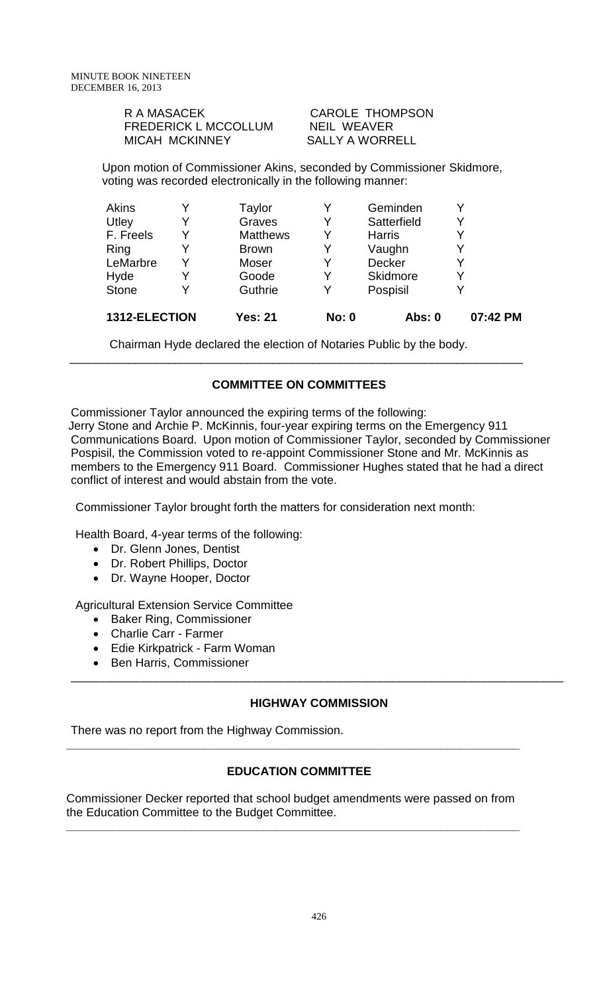| R A MASACEK                 |
|-----------------------------|
| <b>FREDERICK L MCCOLLUM</b> |
| <b>MICAH MCKINNEY</b>       |

CAROLE THOMPSON NEIL WEAVER SALLY A WORRELL

Upon motion of Commissioner Akins, seconded by Commissioner Skidmore, voting was recorded electronically in the following manner:

| 1312-ELECTION |   | <b>Yes: 21</b>  | <b>No: 0</b> | <b>Abs: 0</b> | 07:42 PM |
|---------------|---|-----------------|--------------|---------------|----------|
| <b>Stone</b>  |   | Guthrie         | v            | Pospisil      |          |
| Hyde          |   | Goode           | Y            | Skidmore      | Υ        |
| LeMarbre      | v | Moser           | v            | Decker        | ٧        |
| Ring          |   | <b>Brown</b>    | Y            | Vaughn        | Y        |
| F. Freels     | Y | <b>Matthews</b> | Y            | <b>Harris</b> | Y        |
| Utley         |   | Graves          | Y            | Satterfield   | Y        |
| Akins         |   | Taylor          |              | Geminden      |          |

Chairman Hyde declared the election of Notaries Public by the body.

# **COMMITTEE ON COMMITTEES**

\_\_\_\_\_\_\_\_\_\_\_\_\_\_\_\_\_\_\_\_\_\_\_\_\_\_\_\_\_\_\_\_\_\_\_\_\_\_\_\_\_\_\_\_\_\_\_\_\_\_\_\_\_\_\_\_\_\_\_\_\_\_\_\_\_\_\_\_\_

Commissioner Taylor announced the expiring terms of the following: Jerry Stone and Archie P. McKinnis, four-year expiring terms on the Emergency 911 Communications Board. Upon motion of Commissioner Taylor, seconded by Commissioner Pospisil, the Commission voted to re-appoint Commissioner Stone and Mr. McKinnis as members to the Emergency 911 Board. Commissioner Hughes stated that he had a direct conflict of interest and would abstain from the vote.

Commissioner Taylor brought forth the matters for consideration next month:

Health Board, 4-year terms of the following:

- Dr. Glenn Jones, Dentist
- Dr. Robert Phillips, Doctor
- Dr. Wayne Hooper, Doctor

Agricultural Extension Service Committee

- Baker Ring, Commissioner
- Charlie Carr Farmer
- Edie Kirkpatrick Farm Woman
- Ben Harris, Commissioner

# **HIGHWAY COMMISSION**

\_\_\_\_\_\_\_\_\_\_\_\_\_\_\_\_\_\_\_\_\_\_\_\_\_\_\_\_\_\_\_\_\_\_\_\_\_\_\_\_\_\_\_\_\_\_\_\_\_\_\_\_\_\_\_\_\_\_\_\_\_\_\_\_\_\_\_\_\_\_\_\_\_\_\_

There was no report from the Highway Commission.

# **EDUCATION COMMITTEE**

**\_\_\_\_\_\_\_\_\_\_\_\_\_\_\_\_\_\_\_\_\_\_\_\_\_\_\_\_\_\_\_\_\_\_\_\_\_\_\_\_\_\_\_\_\_\_\_\_\_\_\_\_\_\_\_\_\_\_\_\_\_\_\_\_\_\_\_\_\_**

Commissioner Decker reported that school budget amendments were passed on from the Education Committee to the Budget Committee. **\_\_\_\_\_\_\_\_\_\_\_\_\_\_\_\_\_\_\_\_\_\_\_\_\_\_\_\_\_\_\_\_\_\_\_\_\_\_\_\_\_\_\_\_\_\_\_\_\_\_\_\_\_\_\_\_\_\_\_\_\_\_\_\_\_\_\_\_\_**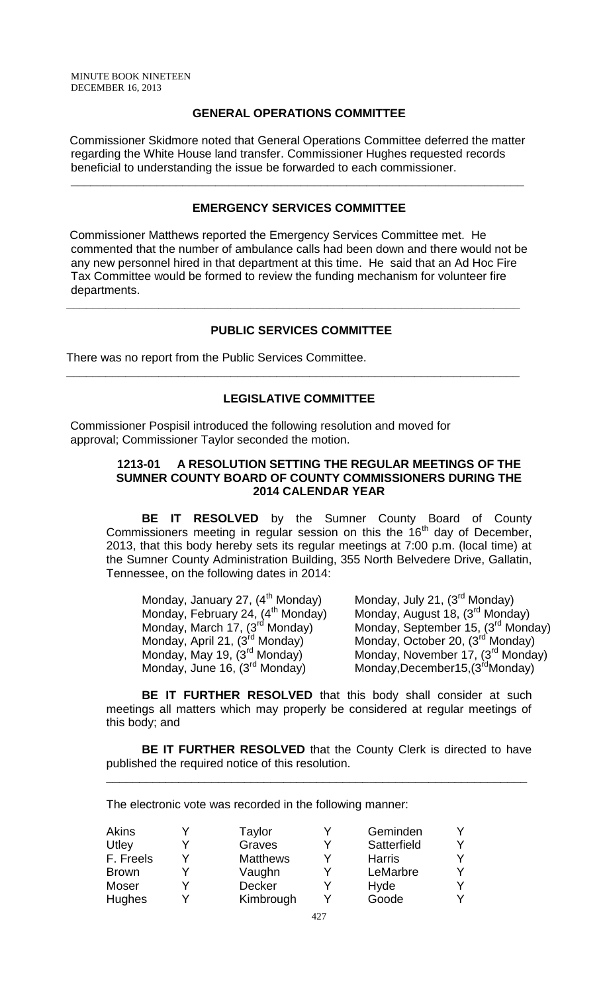# **GENERAL OPERATIONS COMMITTEE**

Commissioner Skidmore noted that General Operations Committee deferred the matter regarding the White House land transfer. Commissioner Hughes requested records beneficial to understanding the issue be forwarded to each commissioner.

**\_\_\_\_\_\_\_\_\_\_\_\_\_\_\_\_\_\_\_\_\_\_\_\_\_\_\_\_\_\_\_\_\_\_\_\_\_\_\_\_\_\_\_\_\_\_\_\_\_\_\_\_\_\_\_\_\_\_\_\_\_\_\_\_\_\_\_\_\_**

## **EMERGENCY SERVICES COMMITTEE**

Commissioner Matthews reported the Emergency Services Committee met. He commented that the number of ambulance calls had been down and there would not be any new personnel hired in that department at this time. He said that an Ad Hoc Fire Tax Committee would be formed to review the funding mechanism for volunteer fire departments.

## **PUBLIC SERVICES COMMITTEE**

**\_\_\_\_\_\_\_\_\_\_\_\_\_\_\_\_\_\_\_\_\_\_\_\_\_\_\_\_\_\_\_\_\_\_\_\_\_\_\_\_\_\_\_\_\_\_\_\_\_\_\_\_\_\_\_\_\_\_\_\_\_\_\_\_\_\_\_\_\_**

There was no report from the Public Services Committee.

#### **LEGISLATIVE COMMITTEE**

**\_\_\_\_\_\_\_\_\_\_\_\_\_\_\_\_\_\_\_\_\_\_\_\_\_\_\_\_\_\_\_\_\_\_\_\_\_\_\_\_\_\_\_\_\_\_\_\_\_\_\_\_\_\_\_\_\_\_\_\_\_\_\_\_\_\_\_\_\_**

Commissioner Pospisil introduced the following resolution and moved for approval; Commissioner Taylor seconded the motion.

#### **1213-01 A RESOLUTION SETTING THE REGULAR MEETINGS OF THE SUMNER COUNTY BOARD OF COUNTY COMMISSIONERS DURING THE 2014 CALENDAR YEAR**

**BE IT RESOLVED** by the Sumner County Board of County Commissioners meeting in regular session on this the  $16<sup>th</sup>$  day of December, 2013, that this body hereby sets its regular meetings at 7:00 p.m. (local time) at the Sumner County Administration Building, 355 North Belvedere Drive, Gallatin, Tennessee, on the following dates in 2014:

| Monday, January 27, (4 <sup>th</sup> Monday)  | Monday, July 21, (3 <sup>rd</sup> Monday)      |
|-----------------------------------------------|------------------------------------------------|
| Monday, February 24, (4 <sup>th</sup> Monday) | Monday, August 18, (3 <sup>rd</sup> Monday)    |
| Monday, March 17, (3 <sup>rd</sup> Monday)    | Monday, September 15, (3 <sup>rd</sup> Monday) |
| Monday, April 21, (3 <sup>rd</sup> Monday)    | Monday, October 20, (3 <sup>rd</sup> Monday)   |
| Monday, May 19, (3 <sup>rd</sup> Monday)      | Monday, November 17, (3 <sup>rd</sup> Monday)  |
| Monday, June 16, (3 <sup>rd</sup> Monday)     | Monday, December15, (3 <sup>rd</sup> Monday)   |

**BE IT FURTHER RESOLVED** that this body shall consider at such meetings all matters which may properly be considered at regular meetings of this body; and

**BE IT FURTHER RESOLVED** that the County Clerk is directed to have published the required notice of this resolution.

\_\_\_\_\_\_\_\_\_\_\_\_\_\_\_\_\_\_\_\_\_\_\_\_\_\_\_\_\_\_\_\_\_\_\_\_\_\_\_\_\_\_\_\_\_\_\_\_\_\_\_\_\_\_\_\_\_\_\_\_\_\_\_\_

The electronic vote was recorded in the following manner:

| Akins         | Taylor          |   | Geminden      | Y |
|---------------|-----------------|---|---------------|---|
| Utley         | Graves          | v | Satterfield   | Y |
| F. Freels     | <b>Matthews</b> | v | <b>Harris</b> | Y |
| <b>Brown</b>  | Vaughn          | v | LeMarbre      | Y |
| Moser         | <b>Decker</b>   |   | Hyde          | Y |
| <b>Hughes</b> | Kimbrough       |   | Goode         | Y |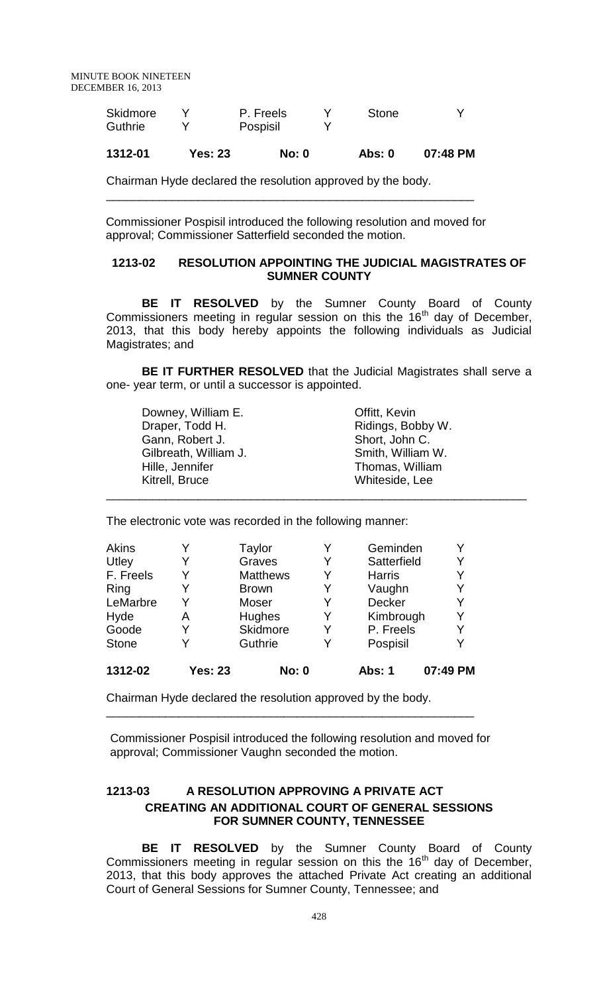| 1312-01  | Yes: 23 | <b>No: 0</b> | Abs: 0 | 07:48 PM |
|----------|---------|--------------|--------|----------|
| Guthrie  |         | Pospisil     |        |          |
| Skidmore |         | P. Freels    | Stone  |          |

Chairman Hyde declared the resolution approved by the body. \_\_\_\_\_\_\_\_\_\_\_\_\_\_\_\_\_\_\_\_\_\_\_\_\_\_\_\_\_\_\_\_\_\_\_\_\_\_\_\_\_\_\_\_\_\_\_\_\_\_\_\_\_\_\_\_

Commissioner Pospisil introduced the following resolution and moved for approval; Commissioner Satterfield seconded the motion.

## **1213-02 RESOLUTION APPOINTING THE JUDICIAL MAGISTRATES OF SUMNER COUNTY**

**BE IT RESOLVED** by the Sumner County Board of County  $Commissioners meeting in regular session on this the 16<sup>th</sup> day of December,$ 2013, that this body hereby appoints the following individuals as Judicial Magistrates; and

**BE IT FURTHER RESOLVED** that the Judicial Magistrates shall serve a one- year term, or until a successor is appointed.

| Downey, William E.    | Offitt, Kevin     |
|-----------------------|-------------------|
| Draper, Todd H.       | Ridings, Bobby W. |
| Gann, Robert J.       | Short, John C.    |
| Gilbreath, William J. | Smith, William W. |
| Hille, Jennifer       | Thomas, William   |
| Kitrell, Bruce        | Whiteside, Lee    |
|                       |                   |

The electronic vote was recorded in the following manner:

| Akins        |                | Taylor          | Y | Geminden      |          |
|--------------|----------------|-----------------|---|---------------|----------|
| Utley        | Y              | Graves          | Y | Satterfield   | Y        |
| F. Freels    | Y              | <b>Matthews</b> | Y | <b>Harris</b> |          |
| Ring         | Y              | <b>Brown</b>    | Y | Vaughn        |          |
| LeMarbre     | Y              | Moser           | Y | Decker        | Y        |
| Hyde         | Α              | <b>Hughes</b>   | Y | Kimbrough     |          |
| Goode        | Y              | Skidmore        | Y | P. Freels     |          |
| <b>Stone</b> | Y              | Guthrie         | Y | Pospisil      |          |
| 1312-02      | <b>Yes: 23</b> | <b>No: 0</b>    |   | Abs: 1        | 07:49 PM |

Chairman Hyde declared the resolution approved by the body.

Commissioner Pospisil introduced the following resolution and moved for approval; Commissioner Vaughn seconded the motion.

\_\_\_\_\_\_\_\_\_\_\_\_\_\_\_\_\_\_\_\_\_\_\_\_\_\_\_\_\_\_\_\_\_\_\_\_\_\_\_\_\_\_\_\_\_\_\_\_\_\_\_\_\_\_\_\_

# **1213-03 A RESOLUTION APPROVING A PRIVATE ACT CREATING AN ADDITIONAL COURT OF GENERAL SESSIONS FOR SUMNER COUNTY, TENNESSEE**

**BE IT RESOLVED** by the Sumner County Board of County Commissioners meeting in regular session on this the  $16<sup>th</sup>$  day of December, 2013, that this body approves the attached Private Act creating an additional Court of General Sessions for Sumner County, Tennessee; and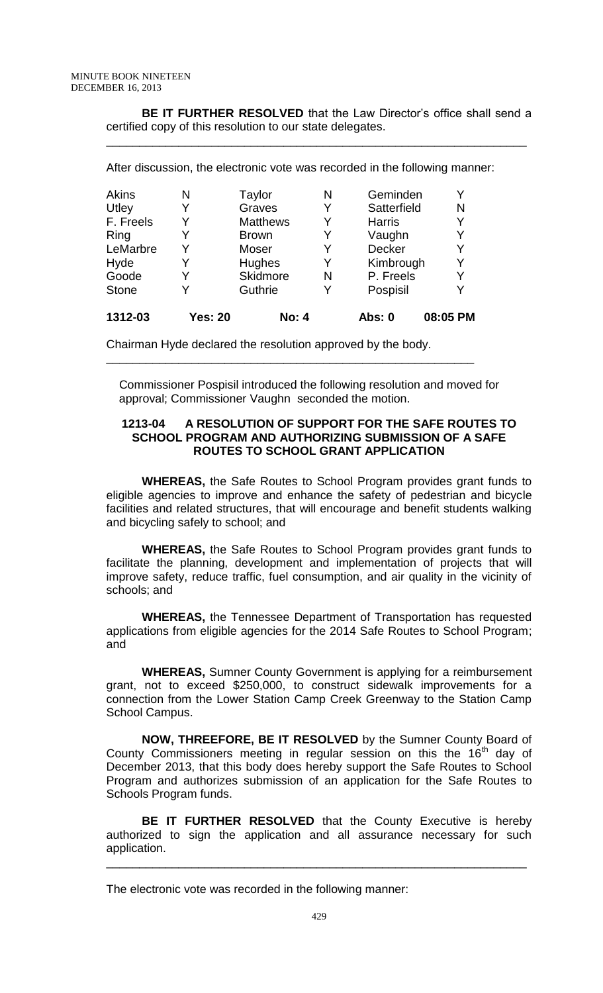**BE IT FURTHER RESOLVED** that the Law Director's office shall send a certified copy of this resolution to our state delegates.

\_\_\_\_\_\_\_\_\_\_\_\_\_\_\_\_\_\_\_\_\_\_\_\_\_\_\_\_\_\_\_\_\_\_\_\_\_\_\_\_\_\_\_\_\_\_\_\_\_\_\_\_\_\_\_\_\_\_\_\_\_\_\_\_

| 1312-03      | Yes: 20 | No: 4           |   | Abs: 0        | 08:05 PM |
|--------------|---------|-----------------|---|---------------|----------|
| <b>Stone</b> |         | Guthrie         | Y | Pospisil      | Y        |
| Goode        |         | <b>Skidmore</b> | N | P. Freels     | Y        |
| Hyde         |         | Hughes          | Y | Kimbrough     | Y        |
| LeMarbre     |         | Moser           | Y | Decker        | Y        |
| Ring         | Y       | <b>Brown</b>    | Y | Vaughn        | Y        |
| F. Freels    | Y       | <b>Matthews</b> | Y | <b>Harris</b> | Y        |
| <b>Utley</b> |         | Graves          | Y | Satterfield   | N        |
| Akins        | N       | Taylor          | N | Geminden      | Y        |

Chairman Hyde declared the resolution approved by the body.

\_\_\_\_\_\_\_\_\_\_\_\_\_\_\_\_\_\_\_\_\_\_\_\_\_\_\_\_\_\_\_\_\_\_\_\_\_\_\_\_\_\_\_\_\_\_\_\_\_\_\_\_\_\_\_\_

Commissioner Pospisil introduced the following resolution and moved for approval; Commissioner Vaughn seconded the motion.

#### **1213-04 A RESOLUTION OF SUPPORT FOR THE SAFE ROUTES TO SCHOOL PROGRAM AND AUTHORIZING SUBMISSION OF A SAFE ROUTES TO SCHOOL GRANT APPLICATION**

**WHEREAS,** the Safe Routes to School Program provides grant funds to eligible agencies to improve and enhance the safety of pedestrian and bicycle facilities and related structures, that will encourage and benefit students walking and bicycling safely to school; and

**WHEREAS,** the Safe Routes to School Program provides grant funds to facilitate the planning, development and implementation of projects that will improve safety, reduce traffic, fuel consumption, and air quality in the vicinity of schools; and

**WHEREAS,** the Tennessee Department of Transportation has requested applications from eligible agencies for the 2014 Safe Routes to School Program; and

**WHEREAS,** Sumner County Government is applying for a reimbursement grant, not to exceed \$250,000, to construct sidewalk improvements for a connection from the Lower Station Camp Creek Greenway to the Station Camp School Campus.

**NOW, THREEFORE, BE IT RESOLVED** by the Sumner County Board of County Commissioners meeting in regular session on this the  $16<sup>th</sup>$  day of December 2013, that this body does hereby support the Safe Routes to School Program and authorizes submission of an application for the Safe Routes to Schools Program funds.

**BE IT FURTHER RESOLVED** that the County Executive is hereby authorized to sign the application and all assurance necessary for such application.

\_\_\_\_\_\_\_\_\_\_\_\_\_\_\_\_\_\_\_\_\_\_\_\_\_\_\_\_\_\_\_\_\_\_\_\_\_\_\_\_\_\_\_\_\_\_\_\_\_\_\_\_\_\_\_\_\_\_\_\_\_\_\_\_

The electronic vote was recorded in the following manner: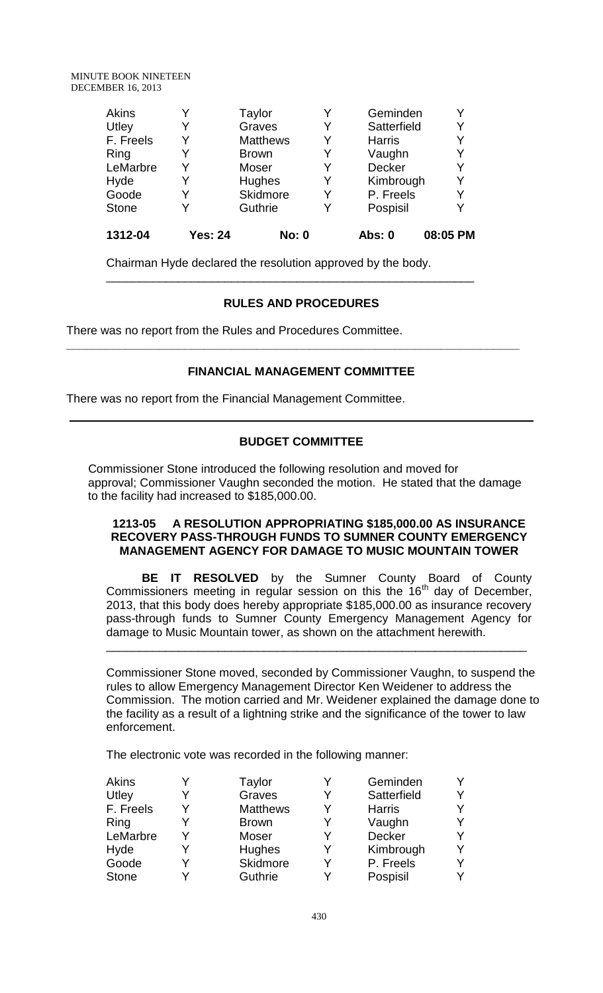| Ring<br>LeMarbre | Y       | Moser              | Y | Vaughn<br>Decker       | Y        |
|------------------|---------|--------------------|---|------------------------|----------|
| Hyde<br>Goode    | Y       | Hughes<br>Skidmore | Y | Kimbrough<br>P. Freels | Y<br>Y   |
| <b>Stone</b>     | Y       | Guthrie            | Y | Pospisil               | Y        |
| 1312-04          | Yes: 24 | No: 0              |   | Abs: 0                 | 08:05 PM |

Chairman Hyde declared the resolution approved by the body.

# **RULES AND PROCEDURES**

\_\_\_\_\_\_\_\_\_\_\_\_\_\_\_\_\_\_\_\_\_\_\_\_\_\_\_\_\_\_\_\_\_\_\_\_\_\_\_\_\_\_\_\_\_\_\_\_\_\_\_\_\_\_\_\_

There was no report from the Rules and Procedures Committee.

# **FINANCIAL MANAGEMENT COMMITTEE**

**\_\_\_\_\_\_\_\_\_\_\_\_\_\_\_\_\_\_\_\_\_\_\_\_\_\_\_\_\_\_\_\_\_\_\_\_\_\_\_\_\_\_\_\_\_\_\_\_\_\_\_\_\_\_\_\_\_\_\_\_\_\_\_\_\_\_\_\_\_**

There was no report from the Financial Management Committee.

# **BUDGET COMMITTEE**

Commissioner Stone introduced the following resolution and moved for approval; Commissioner Vaughn seconded the motion. He stated that the damage to the facility had increased to \$185,000.00.

#### **1213-05 A RESOLUTION APPROPRIATING \$185,000.00 AS INSURANCE RECOVERY PASS-THROUGH FUNDS TO SUMNER COUNTY EMERGENCY MANAGEMENT AGENCY FOR DAMAGE TO MUSIC MOUNTAIN TOWER**

**BE IT RESOLVED** by the Sumner County Board of County Commissioners meeting in regular session on this the  $16<sup>th</sup>$  day of December, 2013, that this body does hereby appropriate \$185,000.00 as insurance recovery pass-through funds to Sumner County Emergency Management Agency for damage to Music Mountain tower, as shown on the attachment herewith. \_\_\_\_\_\_\_\_\_\_\_\_\_\_\_\_\_\_\_\_\_\_\_\_\_\_\_\_\_\_\_\_\_\_\_\_\_\_\_\_\_\_\_\_\_\_\_\_\_\_\_\_\_\_\_\_\_\_\_\_\_\_\_\_

Commissioner Stone moved, seconded by Commissioner Vaughn, to suspend the rules to allow Emergency Management Director Ken Weidener to address the Commission. The motion carried and Mr. Weidener explained the damage done to the facility as a result of a lightning strike and the significance of the tower to law enforcement.

The electronic vote was recorded in the following manner:

| Akins        |   | Taylor          |   | Geminden      | Y |
|--------------|---|-----------------|---|---------------|---|
| Utley        |   | Graves          | Y | Satterfield   | Y |
| F. Freels    | v | <b>Matthews</b> | Y | <b>Harris</b> | Y |
| Ring         |   | <b>Brown</b>    | Y | Vaughn        | Y |
| LeMarbre     |   | Moser           | Y | Decker        | Y |
| Hyde         |   | Hughes          | Y | Kimbrough     | Υ |
| Goode        |   | Skidmore        | Y | P. Freels     | Y |
| <b>Stone</b> |   | Guthrie         |   | Pospisil      | Y |